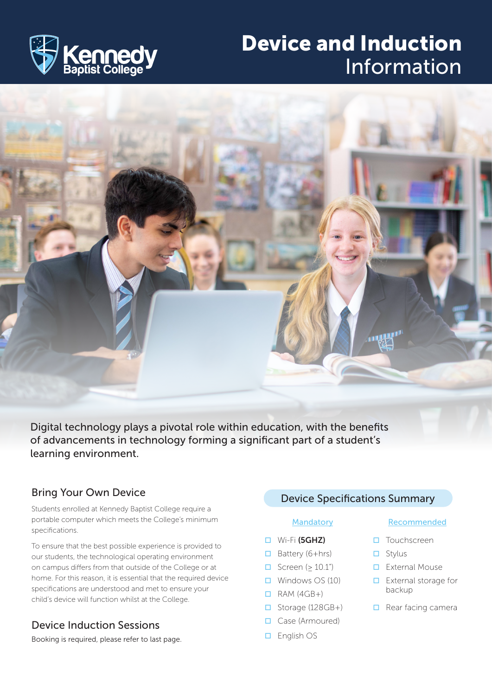

# Device and Induction Information



Digital technology plays a pivotal role within education, with the benefits of advancements in technology forming a significant part of a student's learning environment.

### Bring Your Own Device

Students enrolled at Kennedy Baptist College require a portable computer which meets the College's minimum specifications.

To ensure that the best possible experience is provided to our students, the technological operating environment on campus differs from that outside of the College or at home. For this reason, it is essential that the required device specifications are understood and met to ensure your child's device will function whilst at the College.

### Device Induction Sessions

Booking is required, please refer to last page.

#### Device Specifications Summary

- 
- 
- 
- 
- 
- 
- □ Case (Armoured)
- □ English OS

#### Mandatory Recommended

- **D** Wi-Fi (5GHZ) **D** Touchscreen
- $\Box$  Battery (6+hrs)  $\Box$  Stylus
- $\Box$  Screen (> 10.1")  $\Box$  External Mouse
- $\Box$  Windows OS (10)  $\Box$  External storage for **D** RAM (4GB+) backup
- $\Box$  Storage (128GB+)  $\Box$  Rear facing camera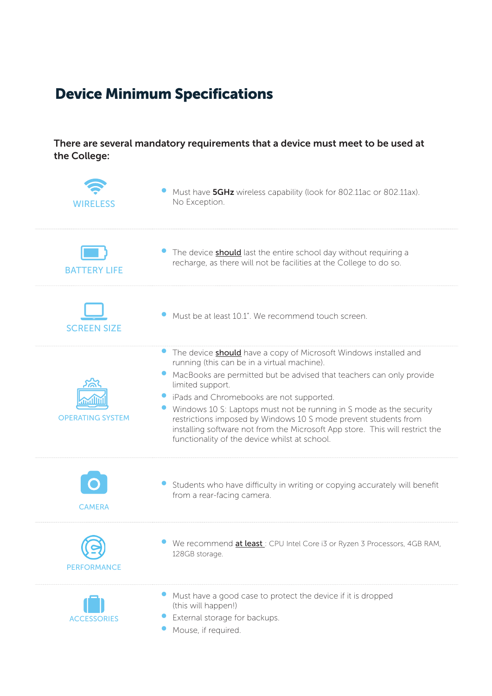# Device Minimum Specifications

There are several mandatory requirements that a device must meet to be used at the College:

| <b>WIRELESS</b>         | Must have <b>5GHz</b> wireless capability (look for 802.11ac or 802.11ax).<br>No Exception.                                                                                                                                                                                                                                                                                                                                                                                                                                               |
|-------------------------|-------------------------------------------------------------------------------------------------------------------------------------------------------------------------------------------------------------------------------------------------------------------------------------------------------------------------------------------------------------------------------------------------------------------------------------------------------------------------------------------------------------------------------------------|
| <b>BATTERY LIFE</b>     | The device <b>should</b> last the entire school day without requiring a<br>recharge, as there will not be facilities at the College to do so.                                                                                                                                                                                                                                                                                                                                                                                             |
| <b>SCREEN SIZE</b>      | Must be at least 10.1". We recommend touch screen.                                                                                                                                                                                                                                                                                                                                                                                                                                                                                        |
| <b>OPERATING SYSTEM</b> | The device <b>should</b> have a copy of Microsoft Windows installed and<br>running (this can be in a virtual machine).<br>MacBooks are permitted but be advised that teachers can only provide<br>limited support.<br>iPads and Chromebooks are not supported.<br>Windows 10 S: Laptops must not be running in S mode as the security<br>restrictions imposed by Windows 10 S mode prevent students from<br>installing software not from the Microsoft App store. This will restrict the<br>functionality of the device whilst at school. |
| <b>CAMERA</b>           | Students who have difficulty in writing or copying accurately will benefit<br>from a rear-facing camera.                                                                                                                                                                                                                                                                                                                                                                                                                                  |
| <b>PERFORMANCE</b>      | We recommend at least: CPU Intel Core i3 or Ryzen 3 Processors, 4GB RAM,<br>128GB storage.                                                                                                                                                                                                                                                                                                                                                                                                                                                |
| <b>ACCESSORIES</b>      | Must have a good case to protect the device if it is dropped<br>(this will happen!)<br>External storage for backups.<br>Mouse, if required.                                                                                                                                                                                                                                                                                                                                                                                               |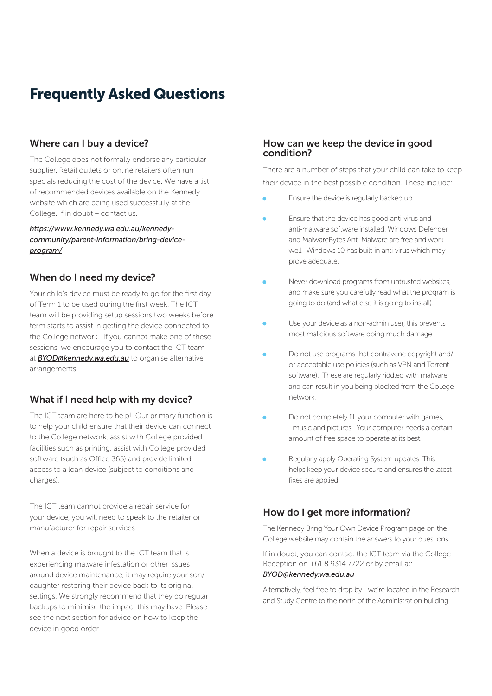## Frequently Asked Questions

#### Where can I buy a device?

The College does not formally endorse any particular supplier. Retail outlets or online retailers often run specials reducing the cost of the device. We have a list of recommended devices available on the Kennedy website which are being used successfully at the College. If in doubt – contact us.

*https://www.kennedy.wa.edu.au/kennedycommunity/parent-information/bring-deviceprogram/*

#### When do I need my device?

Your child's device must be ready to go for the first day of Term 1 to be used during the first week. The ICT team will be providing setup sessions two weeks before term starts to assist in getting the device connected to the College network. If you cannot make one of these sessions, we encourage you to contact the ICT team at *BYOD@kennedy.wa.edu.au* to organise alternative arrangements.

#### What if I need help with my device?

The ICT team are here to help! Our primary function is to help your child ensure that their device can connect to the College network, assist with College provided facilities such as printing, assist with College provided software (such as Office 365) and provide limited access to a loan device (subject to conditions and charges).

The ICT team cannot provide a repair service for your device, you will need to speak to the retailer or manufacturer for repair services.

When a device is brought to the ICT team that is experiencing malware infestation or other issues around device maintenance, it may require your son/ daughter restoring their device back to its original settings. We strongly recommend that they do regular backups to minimise the impact this may have. Please see the next section for advice on how to keep the device in good order.

#### How can we keep the device in good condition?

There are a number of steps that your child can take to keep their device in the best possible condition. These include:

- Ensure the device is regularly backed up.
- Ensure that the device has good anti-virus and anti-malware software installed. Windows Defender and MalwareBytes Anti-Malware are free and work well. Windows 10 has built-in anti-virus which may prove adequate.
- Never download programs from untrusted websites, and make sure you carefully read what the program is going to do (and what else it is going to install).
- Use your device as a non-admin user, this prevents most malicious software doing much damage.
- Do not use programs that contravene copyright and/ or acceptable use policies (such as VPN and Torrent software). These are regularly riddled with malware and can result in you being blocked from the College network.
- Do not completely fill your computer with games, music and pictures. Your computer needs a certain amount of free space to operate at its best.
- Regularly apply Operating System updates. This helps keep your device secure and ensures the latest fixes are applied.

### How do I get more information?

The Kennedy Bring Your Own Device Program page on the College website may contain the answers to your questions.

If in doubt, you can contact the ICT team via the College Reception on +61 8 9314 7722 or by email at: *BYOD@kennedy.wa.edu.au*

Alternatively, feel free to drop by - we're located in the Research and Study Centre to the north of the Administration building.